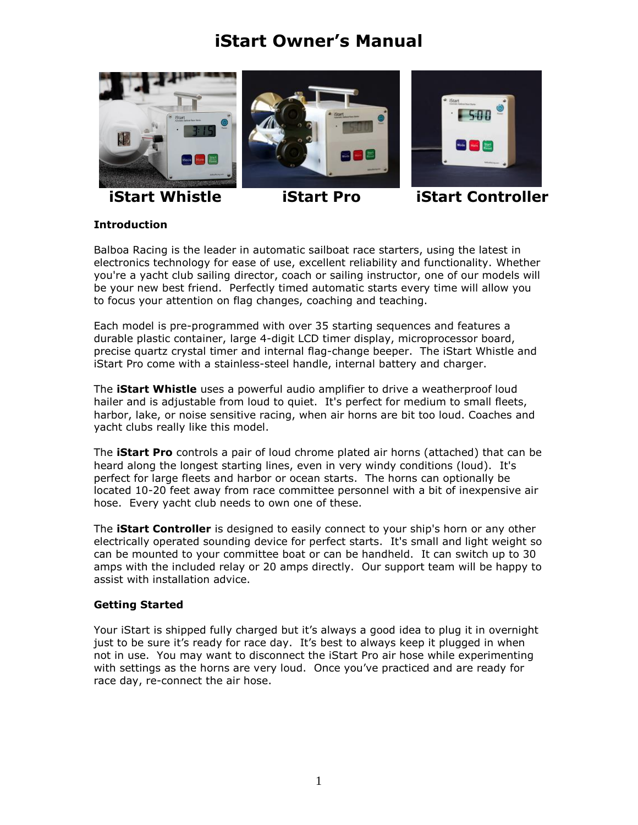# **iStart Owner's Manual**



**iStart Whistle iStart Pro iStart Controller**

# **Introduction**

Balboa Racing is the leader in automatic sailboat race starters, using the latest in electronics technology for ease of use, excellent reliability and functionality. Whether you're a yacht club sailing director, coach or sailing instructor, one of our models will be your new best friend. Perfectly timed automatic starts every time will allow you to focus your attention on flag changes, coaching and teaching.

Each model is pre-programmed with over 35 starting sequences and features a durable plastic container, large 4-digit LCD timer display, microprocessor board, precise quartz crystal timer and internal flag-change beeper. The iStart Whistle and iStart Pro come with a stainless-steel handle, internal battery and charger.

The **iStart Whistle** uses a powerful audio amplifier to drive a weatherproof loud hailer and is adjustable from loud to quiet. It's perfect for medium to small fleets, harbor, lake, or noise sensitive racing, when air horns are bit too loud. Coaches and yacht clubs really like this model.

The **iStart Pro** controls a pair of loud chrome plated air horns (attached) that can be heard along the longest starting lines, even in very windy conditions (loud). It's perfect for large fleets and harbor or ocean starts. The horns can optionally be located 10-20 feet away from race committee personnel with a bit of inexpensive air hose. Every yacht club needs to own one of these.

The **iStart Controller** is designed to easily connect to your ship's horn or any other electrically operated sounding device for perfect starts. It's small and light weight so can be mounted to your committee boat or can be handheld. It can switch up to 30 amps with the included relay or 20 amps directly. Our support team will be happy to assist with installation advice.

# **Getting Started**

Your iStart is shipped fully charged but it's always a good idea to plug it in overnight just to be sure it's ready for race day. It's best to always keep it plugged in when not in use. You may want to disconnect the iStart Pro air hose while experimenting with settings as the horns are very loud. Once you've practiced and are ready for race day, re-connect the air hose.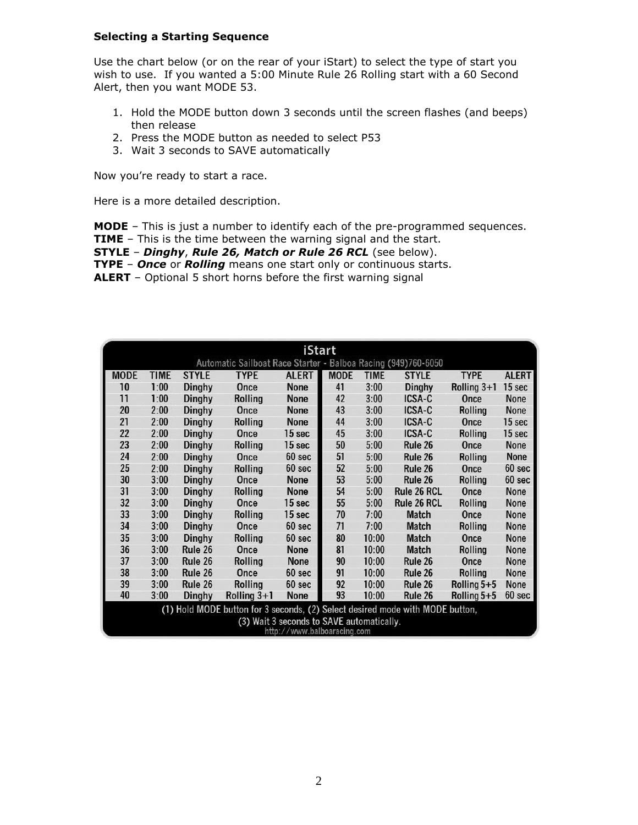#### **Selecting a Starting Sequence**

Use the chart below (or on the rear of your iStart) to select the type of start you wish to use. If you wanted a 5:00 Minute Rule 26 Rolling start with a 60 Second Alert, then you want MODE 53.

- 1. Hold the MODE button down 3 seconds until the screen flashes (and beeps) then release
- 2. Press the MODE button as needed to select P53
- 3. Wait 3 seconds to SAVE automatically

Now you're ready to start a race.

Here is a more detailed description.

**MODE** – This is just a number to identify each of the pre-programmed sequences.

- **TIME** This is the time between the warning signal and the start.
- **STYLE** *Dinghy*, *Rule 26, Match or Rule 26 RCL* (see below).
- **TYPE** *Once* or *Rolling* means one start only or continuous starts.

**ALERT** – Optional 5 short horns before the first warning signal

| <b>iStart</b>                                                                 |             |               |                |              |             |             |              |               |              |
|-------------------------------------------------------------------------------|-------------|---------------|----------------|--------------|-------------|-------------|--------------|---------------|--------------|
| Automatic Sailboat Race Starter - Balboa Racing (949)760-6050                 |             |               |                |              |             |             |              |               |              |
| <b>MODE</b>                                                                   | <b>TIME</b> | <b>STYLE</b>  | <b>TYPE</b>    | <b>ALERT</b> | <b>MODE</b> | <b>TIME</b> | <b>STYLE</b> | <b>TYPE</b>   | <b>ALERT</b> |
| 10                                                                            | 1:00        | Dinghy        | Once           | <b>None</b>  | 41          | 3:00        | Dinghy       | Rolling $3+1$ | 15 sec       |
| 11                                                                            | 1:00        | <b>Dinghy</b> | Rolling        | None         | 42          | 3:00        | ICSA-C       | Once          | <b>None</b>  |
| 20                                                                            | 2:00        | <b>Dinghy</b> | Once           | None         | 43          | 3:00        | ICSA-C       | Rolling       | <b>None</b>  |
| 21                                                                            | 2:00        | <b>Dinghy</b> | Rolling        | None         | 44          | 3:00        | ICSA-C       | Once          | 15 sec       |
| 22                                                                            | 2:00        | <b>Dinghy</b> | Once           | 15 sec       | 45          | 3:00        | ICSA-C       | Rolling       | 15 sec       |
| 23                                                                            | 2:00        | <b>Dinghy</b> | Rolling        | 15 sec       | 50          | 5:00        | Rule 26      | Once          | <b>None</b>  |
| 24                                                                            | 2:00        | Dinghy        | Once           | 60 sec       | 51          | 5:00        | Rule 26      | Rolling       | <b>None</b>  |
| 25                                                                            | 2:00        | Dinghy        | <b>Rolling</b> | 60 sec       | 52          | 5:00        | Rule 26      | Once          | 60 sec       |
| 30                                                                            | 3:00        | <b>Dinghy</b> | Once           | <b>None</b>  | 53          | 5:00        | Rule 26      | Rolling       | 60 sec       |
| 31                                                                            | 3:00        | <b>Dinghy</b> | Rolling        | None         | 54          | 5:00        | Rule 26 RCL  | Once          | <b>None</b>  |
| 32                                                                            | 3:00        | Dinghy        | Once           | 15 sec       | 55          | 5:00        | Rule 26 RCL  | Rolling       | <b>None</b>  |
| 33                                                                            | 3:00        | Dinghy        | Rolling        | 15 sec       | 70          | 7:00        | <b>Match</b> | Once          | None         |
| 34                                                                            | 3:00        | <b>Dinghy</b> | Once           | 60 sec       | 71          | 7:00        | <b>Match</b> | Rolling       | <b>None</b>  |
| 35                                                                            | 3:00        | <b>Dinghy</b> | Rolling        | 60 sec       | 80          | 10:00       | <b>Match</b> | Once          | <b>None</b>  |
| 36                                                                            | 3:00        | Rule 26       | Once           | None         | 81          | 10:00       | <b>Match</b> | Rolling       | <b>None</b>  |
| 37                                                                            | 3:00        | Rule 26       | Rolling        | None         | 90          | 10:00       | Rule 26      | Once          | <b>None</b>  |
| 38                                                                            | 3:00        | Rule 26       | Once           | 60 sec       | 91          | 10:00       | Rule 26      | Rolling       | <b>None</b>  |
| 39                                                                            | 3:00        | Rule 26       | Rolling        | 60 sec       | 92          | 10:00       | Rule 26      | Rolling $5+5$ | <b>None</b>  |
| 40                                                                            | 3:00        | <b>Dinghy</b> | Rolling $3+1$  | None         | 93          | 10:00       | Rule 26      | Rolling 5+5   | 60 sec       |
| (1) Hold MODE button for 3 seconds, (2) Select desired mode with MODE button, |             |               |                |              |             |             |              |               |              |
| (3) Wait 3 seconds to SAVE automatically.<br>http://www.balboaracing.com      |             |               |                |              |             |             |              |               |              |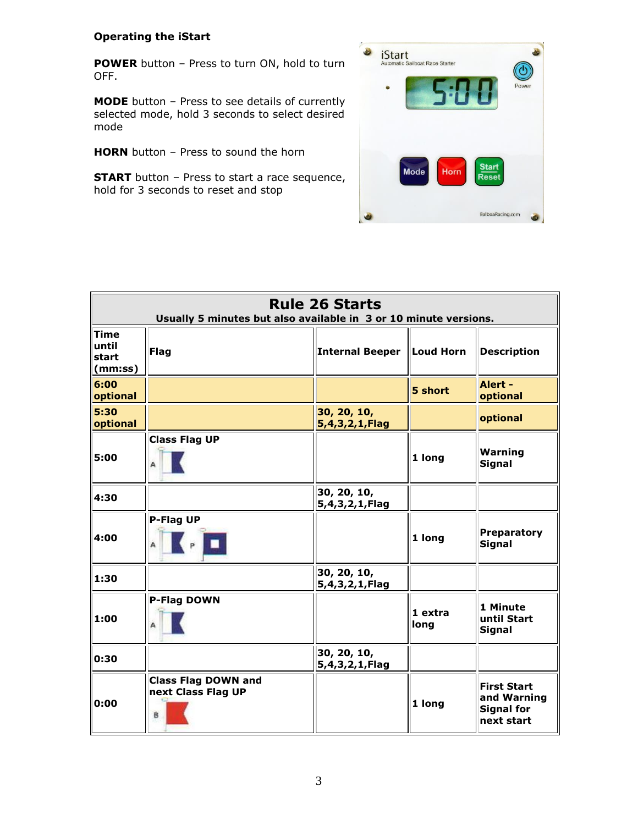# **Operating the iStart**

**POWER** button – Press to turn ON, hold to turn OFF.

**MODE** button – Press to see details of currently selected mode, hold 3 seconds to select desired mode

**HORN** button – Press to sound the horn

**START** button - Press to start a race sequence, hold for 3 seconds to reset and stop



| <b>Rule 26 Starts</b><br>Usually 5 minutes but also available in 3 or 10 minute versions. |                                                       |                               |                 |                                                                      |  |
|-------------------------------------------------------------------------------------------|-------------------------------------------------------|-------------------------------|-----------------|----------------------------------------------------------------------|--|
| <b>Time</b><br>until<br>start<br>(mm:ss)                                                  | <b>Flag</b>                                           | Internal Beeper   Loud Horn   |                 | <b>Description</b>                                                   |  |
| 6:00<br>optional                                                                          |                                                       |                               | 5 short         | Alert -<br>optional                                                  |  |
| 5:30<br>optional                                                                          |                                                       | 30, 20, 10,<br>5,4,3,2,1,Flag |                 | optional                                                             |  |
| 5:00                                                                                      | <b>Class Flag UP</b>                                  |                               | 1 long          | Warning<br><b>Signal</b>                                             |  |
| 4:30                                                                                      |                                                       | 30, 20, 10,<br>5,4,3,2,1,Flag |                 |                                                                      |  |
| 4:00                                                                                      | P-Flag UP                                             |                               | 1 long          | <b>Preparatory</b><br><b>Signal</b>                                  |  |
| 1:30                                                                                      |                                                       | 30, 20, 10,<br>5,4,3,2,1,Flag |                 |                                                                      |  |
| 1:00                                                                                      | P-Flag DOWN                                           |                               | 1 extra<br>long | 1 Minute<br>until Start<br><b>Signal</b>                             |  |
| 0:30                                                                                      |                                                       | 30, 20, 10,<br>5,4,3,2,1,Flag |                 |                                                                      |  |
| 0:00                                                                                      | <b>Class Flag DOWN and</b><br>next Class Flag UP<br>B |                               | 1 long          | <b>First Start</b><br>and Warning<br><b>Signal for</b><br>next start |  |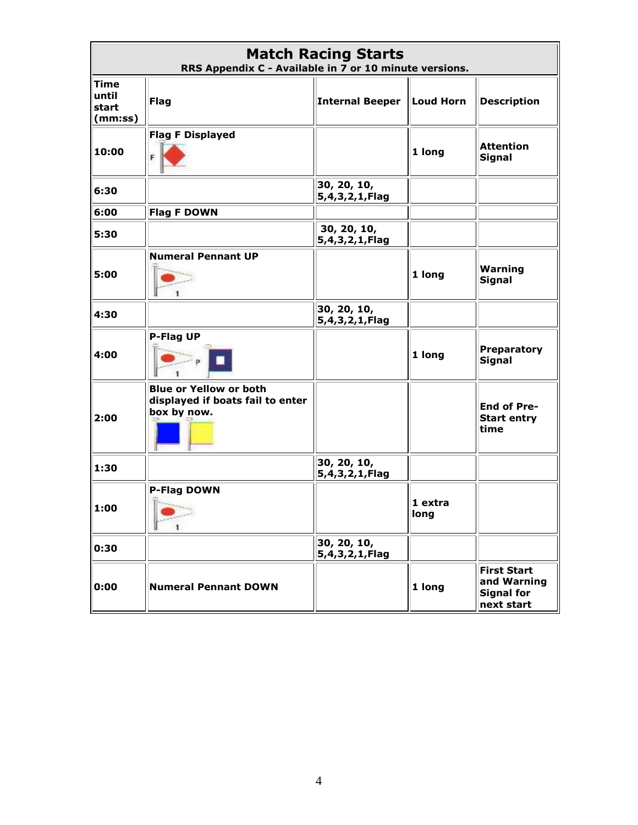| <b>Match Racing Starts</b><br>RRS Appendix C - Available in 7 or 10 minute versions. |                                                                                  |                                    |                 |                                                                      |  |
|--------------------------------------------------------------------------------------|----------------------------------------------------------------------------------|------------------------------------|-----------------|----------------------------------------------------------------------|--|
| <b>Time</b><br>until<br>start<br>(mm:ss)                                             | <b>Flag</b>                                                                      | <b>Internal Beeper</b>             | Loud Horn       | <b>Description</b>                                                   |  |
| 10:00                                                                                | <b>Flag F Displayed</b>                                                          |                                    | 1 long          | <b>Attention</b><br><b>Signal</b>                                    |  |
| 6:30                                                                                 |                                                                                  | 30, 20, 10,<br>5,4,3,2,1,Flag      |                 |                                                                      |  |
| 6:00                                                                                 | <b>Flag F DOWN</b>                                                               |                                    |                 |                                                                      |  |
| 5:30                                                                                 |                                                                                  | 30, 20, 10,<br>5,4,3,2,1,Flag      |                 |                                                                      |  |
| 5:00                                                                                 | <b>Numeral Pennant UP</b>                                                        |                                    | 1 long          | Warning<br><b>Signal</b>                                             |  |
| 4:30                                                                                 |                                                                                  | 30, 20, 10,<br>5,4,3,2,1,Flag      |                 |                                                                      |  |
| 4:00                                                                                 | P-Flag UP                                                                        |                                    | 1 long          | <b>Preparatory</b><br><b>Signal</b>                                  |  |
| 2:00                                                                                 | <b>Blue or Yellow or both</b><br>displayed if boats fail to enter<br>box by now. |                                    |                 | <b>End of Pre-</b><br><b>Start entry</b><br>time                     |  |
| 1:30                                                                                 |                                                                                  | 30, 20, 10,<br>5, 4, 3, 2, 1, Flag |                 |                                                                      |  |
| 1:00                                                                                 | P-Flag DOWN                                                                      |                                    | 1 extra<br>long |                                                                      |  |
| 0:30                                                                                 |                                                                                  | 30, 20, 10,<br>5,4,3,2,1,Flag      |                 |                                                                      |  |
| 0:00                                                                                 | <b>Numeral Pennant DOWN</b>                                                      |                                    | 1 long          | <b>First Start</b><br>and Warning<br><b>Signal for</b><br>next start |  |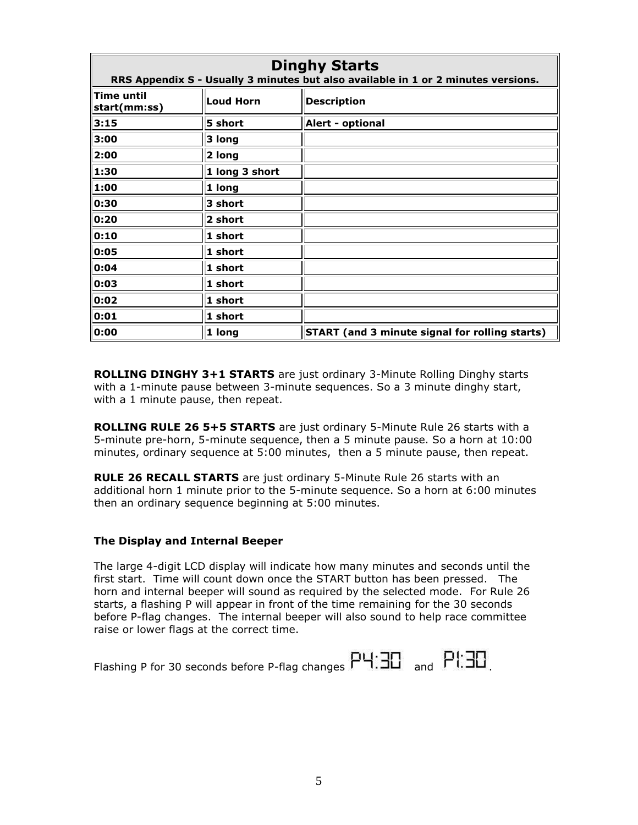| <b>Dinghy Starts</b><br>RRS Appendix S - Usually 3 minutes but also available in 1 or 2 minutes versions. |                 |                                                       |  |  |  |
|-----------------------------------------------------------------------------------------------------------|-----------------|-------------------------------------------------------|--|--|--|
| <b>Time until</b><br>start(mm:ss)                                                                         | Loud Horn       | <b>Description</b>                                    |  |  |  |
| 3:15                                                                                                      | 5 short         | Alert - optional                                      |  |  |  |
| 3:00                                                                                                      | 3 long          |                                                       |  |  |  |
| 2:00                                                                                                      | 2 long          |                                                       |  |  |  |
| 1:30                                                                                                      | 1 long 3 short  |                                                       |  |  |  |
| 1:00                                                                                                      | $1$ long        |                                                       |  |  |  |
| 0:30                                                                                                      | $3$ short       |                                                       |  |  |  |
| 0:20                                                                                                      | 2 short         |                                                       |  |  |  |
| 0:10                                                                                                      | $1$ short       |                                                       |  |  |  |
| 0:05                                                                                                      | $1$ short       |                                                       |  |  |  |
| 0:04                                                                                                      | $1$ short       |                                                       |  |  |  |
| 0:03                                                                                                      | $1$ short       |                                                       |  |  |  |
| 0:02                                                                                                      | $1$ short       |                                                       |  |  |  |
| 0:01                                                                                                      | $\vert$ 1 short |                                                       |  |  |  |
| 0:00                                                                                                      | $1$ long        | <b>START</b> (and 3 minute signal for rolling starts) |  |  |  |

**ROLLING DINGHY 3+1 STARTS** are just ordinary 3-Minute Rolling Dinghy starts with a 1-minute pause between 3-minute sequences. So a 3 minute dinghy start, with a 1 minute pause, then repeat.

**ROLLING RULE 26 5+5 STARTS** are just ordinary 5-Minute Rule 26 starts with a 5-minute pre-horn, 5-minute sequence, then a 5 minute pause. So a horn at 10:00 minutes, ordinary sequence at 5:00 minutes, then a 5 minute pause, then repeat.

**RULE 26 RECALL STARTS** are just ordinary 5-Minute Rule 26 starts with an additional horn 1 minute prior to the 5-minute sequence. So a horn at 6:00 minutes then an ordinary sequence beginning at 5:00 minutes.

#### **The Display and Internal Beeper**

The large 4-digit LCD display will indicate how many minutes and seconds until the first start. Time will count down once the START button has been pressed. The horn and internal beeper will sound as required by the selected mode. For Rule 26 starts, a flashing P will appear in front of the time remaining for the 30 seconds before P-flag changes. The internal beeper will also sound to help race committee raise or lower flags at the correct time.

| Flashing P for 30 seconds before P-flag changes $PH:3D$ and $PH:3D$ |  |  |
|---------------------------------------------------------------------|--|--|
|                                                                     |  |  |